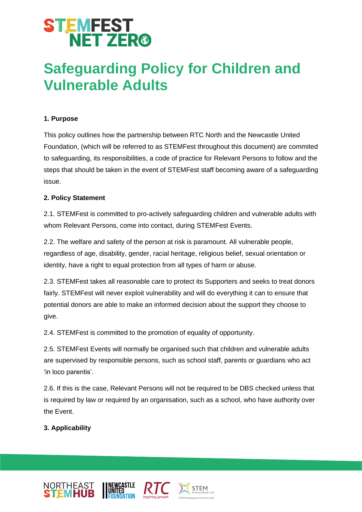# **STEMFEST<br>NET ZER®**

### **Safeguarding Policy for Children and Vulnerable Adults**

### **1. Purpose**

This policy outlines how the partnership between RTC North and the Newcastle United Foundation, (which will be referred to as STEMFest throughout this document) are commited to safeguarding, its responsibilities, a code of practice for Relevant Persons to follow and the steps that should be taken in the event of STEMFest staff becoming aware of a safeguarding issue.

#### **2. Policy Statement**

2.1. STEMFest is committed to pro-actively safeguarding children and vulnerable adults with whom Relevant Persons, come into contact, during STEMFest Events.

2.2. The welfare and safety of the person at risk is paramount. All vulnerable people, regardless of age, disability, gender, racial heritage, religious belief, sexual orientation or identity, have a right to equal protection from all types of harm or abuse.

2.3. STEMFest takes all reasonable care to protect its Supporters and seeks to treat donors fairly. STEMFest will never exploit vulnerability and will do everything it can to ensure that potential donors are able to make an informed decision about the support they choose to give.

2.4. STEMFest is committed to the promotion of equality of opportunity.

2.5. STEMFest Events will normally be organised such that children and vulnerable adults are supervised by responsible persons, such as school staff, parents or guardians who act 'in loco parentis'.

2.6. If this is the case, Relevant Persons will not be required to be DBS checked unless that is required by law or required by an organisation, such as a school, who have authority over the Event.

### **3. Applicability**



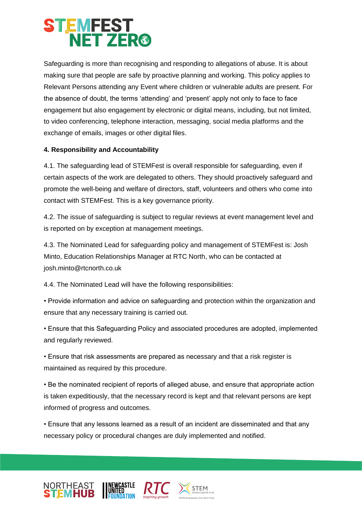### **STEMFEST<br>NET ZER®**

Safeguarding is more than recognising and responding to allegations of abuse. It is about making sure that people are safe by proactive planning and working. This policy applies to Relevant Persons attending any Event where children or vulnerable adults are present. For the absence of doubt, the terms 'attending' and 'present' apply not only to face to face engagement but also engagement by electronic or digital means, including, but not limited, to video conferencing, telephone interaction, messaging, social media platforms and the exchange of emails, images or other digital files.

### **4. Responsibility and Accountability**

4.1. The safeguarding lead of STEMFest is overall responsible for safeguarding, even if certain aspects of the work are delegated to others. They should proactively safeguard and promote the well-being and welfare of directors, staff, volunteers and others who come into contact with STEMFest. This is a key governance priority.

4.2. The issue of safeguarding is subject to regular reviews at event management level and is reported on by exception at management meetings.

4.3. The Nominated Lead for safeguarding policy and management of STEMFest is: Josh Minto, Education Relationships Manager at RTC North, who can be contacted at josh.minto@rtcnorth.co.uk

4.4. The Nominated Lead will have the following responsibilities:

• Provide information and advice on safeguarding and protection within the organization and ensure that any necessary training is carried out.

• Ensure that this Safeguarding Policy and associated procedures are adopted, implemented and regularly reviewed.

• Ensure that risk assessments are prepared as necessary and that a risk register is maintained as required by this procedure.

• Be the nominated recipient of reports of alleged abuse, and ensure that appropriate action is taken expeditiously, that the necessary record is kept and that relevant persons are kept informed of progress and outcomes.

• Ensure that any lessons learned as a result of an incident are disseminated and that any necessary policy or procedural changes are duly implemented and notified.





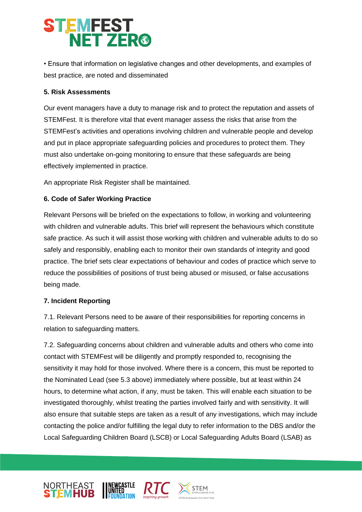# **STEMFEST<br>NET ZER®**

• Ensure that information on legislative changes and other developments, and examples of best practice, are noted and disseminated

#### **5. Risk Assessments**

Our event managers have a duty to manage risk and to protect the reputation and assets of STEMFest. It is therefore vital that event manager assess the risks that arise from the STEMFest's activities and operations involving children and vulnerable people and develop and put in place appropriate safeguarding policies and procedures to protect them. They must also undertake on-going monitoring to ensure that these safeguards are being effectively implemented in practice.

An appropriate Risk Register shall be maintained.

### **6. Code of Safer Working Practice**

Relevant Persons will be briefed on the expectations to follow, in working and volunteering with children and vulnerable adults. This brief will represent the behaviours which constitute safe practice. As such it will assist those working with children and vulnerable adults to do so safely and responsibly, enabling each to monitor their own standards of integrity and good practice. The brief sets clear expectations of behaviour and codes of practice which serve to reduce the possibilities of positions of trust being abused or misused, or false accusations being made.

### **7. Incident Reporting**

7.1. Relevant Persons need to be aware of their responsibilities for reporting concerns in relation to safeguarding matters.

7.2. Safeguarding concerns about children and vulnerable adults and others who come into contact with STEMFest will be diligently and promptly responded to, recognising the sensitivity it may hold for those involved. Where there is a concern, this must be reported to the Nominated Lead (see 5.3 above) immediately where possible, but at least within 24 hours, to determine what action, if any, must be taken. This will enable each situation to be investigated thoroughly, whilst treating the parties involved fairly and with sensitivity. It will also ensure that suitable steps are taken as a result of any investigations, which may include contacting the police and/or fulfilling the legal duty to refer information to the DBS and/or the Local Safeguarding Children Board (LSCB) or Local Safeguarding Adults Board (LSAB) as